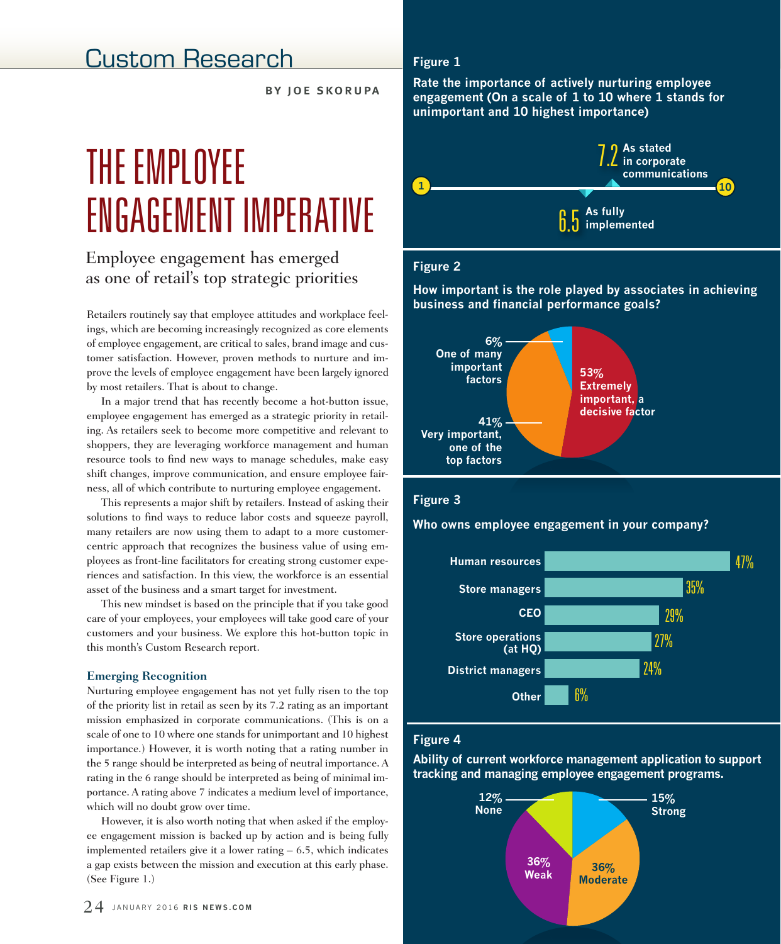# Custom Research

by joe skorupa

# THE EMPLOYEE ENGAGEMENT IMPERATIVE

# Employee engagement has emerged as one of retail's top strategic priorities

Retailers routinely say that employee attitudes and workplace feelings, which are becoming increasingly recognized as core elements of employee engagement, are critical to sales, brand image and customer satisfaction. However, proven methods to nurture and improve the levels of employee engagement have been largely ignored by most retailers. That is about to change.

In a major trend that has recently become a hot-button issue, employee engagement has emerged as a strategic priority in retailing. As retailers seek to become more competitive and relevant to shoppers, they are leveraging workforce management and human resource tools to find new ways to manage schedules, make easy shift changes, improve communication, and ensure employee fairness, all of which contribute to nurturing employee engagement.

This represents a major shift by retailers. Instead of asking their solutions to find ways to reduce labor costs and squeeze payroll, many retailers are now using them to adapt to a more customercentric approach that recognizes the business value of using employees as front-line facilitators for creating strong customer experiences and satisfaction. In this view, the workforce is an essential asset of the business and a smart target for investment.

This new mindset is based on the principle that if you take good care of your employees, your employees will take good care of your customers and your business. We explore this hot-button topic in this month's Custom Research report.

### **Emerging Recognition**

Nurturing employee engagement has not yet fully risen to the top of the priority list in retail as seen by its 7.2 rating as an important mission emphasized in corporate communications. (This is on a scale of one to 10 where one stands for unimportant and 10 highest importance.) However, it is worth noting that a rating number in the 5 range should be interpreted as being of neutral importance. A rating in the 6 range should be interpreted as being of minimal importance. A rating above 7 indicates a medium level of importance, which will no doubt grow over time.

However, it is also worth noting that when asked if the employee engagement mission is backed up by action and is being fully implemented retailers give it a lower rating – 6.5, which indicates a gap exists between the mission and execution at this early phase. (See Figure 1.)

### **Figure 1**

**Rate the importance of actively nurturing employee engagement (On a scale of 1 to 10 where 1 stands for unimportant and 10 highest importance)**



# **Figure 2**

**How important is the role played by associates in achieving business and financial performance goals?**



### **Figure 3**

**Who owns employee engagement in your company?**



### **Figure 4**

**Ability of current workforce management application to support tracking and managing employee engagement programs.**

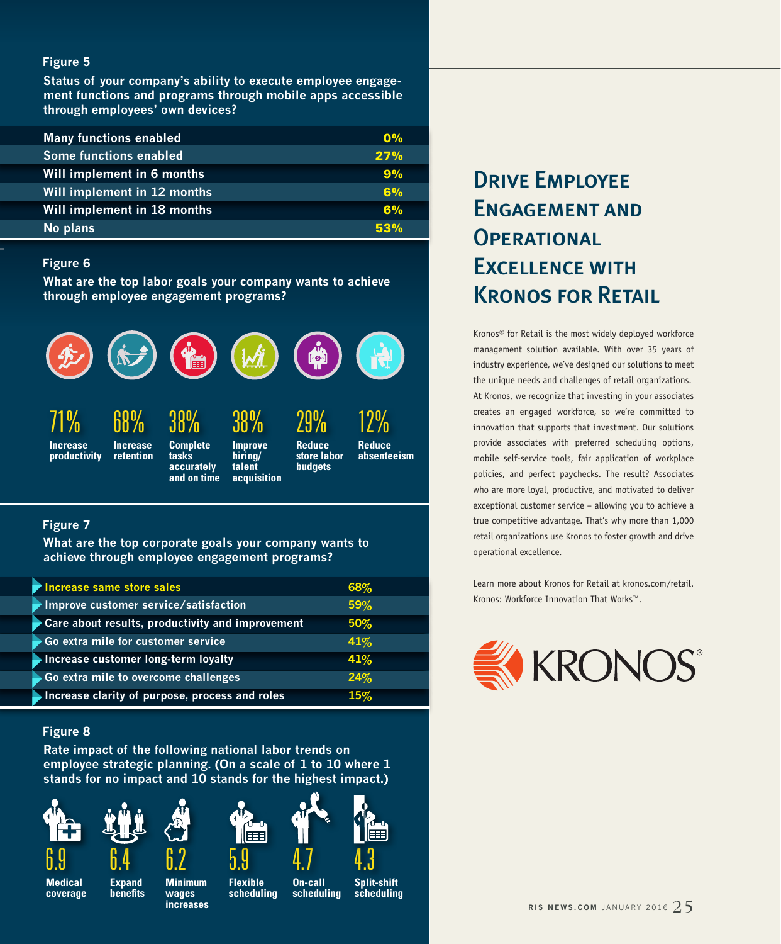### **Figure 5**

**Status of your company's ability to execute employee engagement functions and programs through mobile apps accessible through employees' own devices?** 

| <b>Many functions enabled</b> | $\mathbf{0\%}$ |
|-------------------------------|----------------|
| <b>Some functions enabled</b> | 27%            |
| Will implement in 6 months    | 9%             |
| Will implement in 12 months   | 6%             |
| Will implement in 18 months   | 6%             |
| No plans                      | 53%            |

### **Figure 6**

**What are the top labor goals your company wants to achieve through employee engagement programs?**



## **Figure 7**

**What are the top corporate goals your company wants to achieve through employee engagement programs?**

| Increase same store sales                        | 68% |  |
|--------------------------------------------------|-----|--|
| Improve customer service/satisfaction            | 59% |  |
| Care about results, productivity and improvement | 50% |  |
| Go extra mile for customer service               | 41% |  |
| <b>Increase customer long-term loyalty</b>       | 41% |  |
| Go extra mile to overcome challenges             | 24% |  |
| Increase clarity of purpose, process and roles   | 15% |  |

### **Figure 8**

**Rate impact of the following national labor trends on employee strategic planning. (On a scale of 1 to 10 where 1 stands for no impact and 10 stands for the highest impact.)**













 $\overline{4}.3$ 

# Drive Employee Engagement and **OPERATIONAL** Excellence with Kronos for Retail

Kronos® for Retail is the most widely deployed workforce management solution available. With over 35 years of industry experience, we've designed our solutions to meet the unique needs and challenges of retail organizations. At Kronos, we recognize that investing in your associates creates an engaged workforce, so we're committed to innovation that supports that investment. Our solutions provide associates with preferred scheduling options, mobile self-service tools, fair application of workplace policies, and perfect paychecks. The result? Associates who are more loyal, productive, and motivated to deliver exceptional customer service – allowing you to achieve a true competitive advantage. That's why more than 1,000 retail organizations use Kronos to foster growth and drive operational excellence.

Learn more about Kronos for Retail at kronos.com/retail. Kronos: Workforce Innovation That Works™.



**Medical coverage** **Expand benefits**

**Minimum wages increases**

6.2

**Flexible scheduling**

**On-call scheduling**

**Split-shift scheduling**

**RIS NEWS.COM JANUARY 2016**  $25$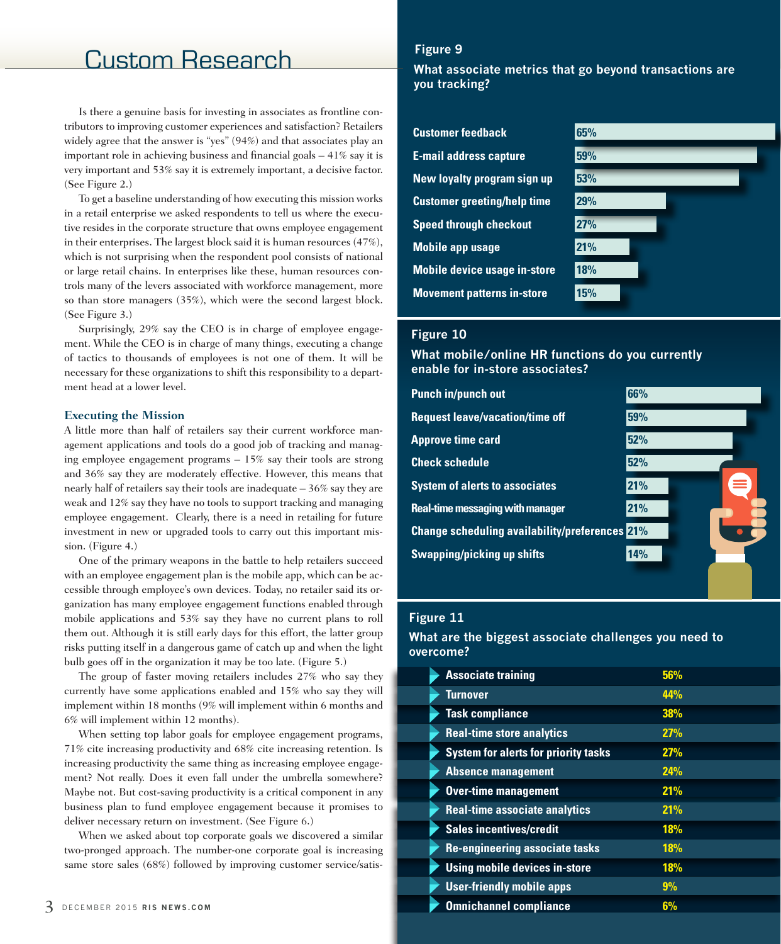# Custom Research

Is there a genuine basis for investing in associates as frontline contributors to improving customer experiences and satisfaction? Retailers widely agree that the answer is "yes" (94%) and that associates play an important role in achieving business and financial goals – 41% say it is very important and 53% say it is extremely important, a decisive factor. (See Figure 2.)

To get a baseline understanding of how executing this mission works in a retail enterprise we asked respondents to tell us where the executive resides in the corporate structure that owns employee engagement in their enterprises. The largest block said it is human resources (47%), which is not surprising when the respondent pool consists of national or large retail chains. In enterprises like these, human resources controls many of the levers associated with workforce management, more so than store managers (35%), which were the second largest block. (See Figure 3.)

Surprisingly, 29% say the CEO is in charge of employee engagement. While the CEO is in charge of many things, executing a change of tactics to thousands of employees is not one of them. It will be necessary for these organizations to shift this responsibility to a department head at a lower level.

#### **Executing the Mission**

A little more than half of retailers say their current workforce management applications and tools do a good job of tracking and managing employee engagement programs – 15% say their tools are strong and 36% say they are moderately effective. However, this means that nearly half of retailers say their tools are inadequate – 36% say they are weak and 12% say they have no tools to support tracking and managing employee engagement. Clearly, there is a need in retailing for future investment in new or upgraded tools to carry out this important mission. (Figure 4.)

One of the primary weapons in the battle to help retailers succeed with an employee engagement plan is the mobile app, which can be accessible through employee's own devices. Today, no retailer said its organization has many employee engagement functions enabled through mobile applications and 53% say they have no current plans to roll them out. Although it is still early days for this effort, the latter group risks putting itself in a dangerous game of catch up and when the light bulb goes off in the organization it may be too late. (Figure 5.)

The group of faster moving retailers includes 27% who say they currently have some applications enabled and 15% who say they will implement within 18 months (9% will implement within 6 months and 6% will implement within 12 months).

When setting top labor goals for employee engagement programs, 71% cite increasing productivity and 68% cite increasing retention. Is increasing productivity the same thing as increasing employee engagement? Not really. Does it even fall under the umbrella somewhere? Maybe not. But cost-saving productivity is a critical component in any business plan to fund employee engagement because it promises to deliver necessary return on investment. (See Figure 6.)

When we asked about top corporate goals we discovered a similar two-pronged approach. The number-one corporate goal is increasing same store sales (68%) followed by improving customer service/satis-

### **Figure 9**

**What associate metrics that go beyond transactions are you tracking?**

**Customer feedback 65% E-mail address capture 59% New loyalty program sign up 53% Customer greeting/help time 29% Speed through checkout 27% Mobile app usage 21% Mobile device usage in-store 18% Movement patterns in-store 15%**



### **Figure 10**

**What mobile/online HR functions do you currently enable for in-store associates?**

| <b>Punch in/punch out</b>                             | 66% |
|-------------------------------------------------------|-----|
| <b>Request leave/vacation/time off</b>                | 59% |
| <b>Approve time card</b>                              | 52% |
| <b>Check schedule</b>                                 | 52% |
| <b>System of alerts to associates</b>                 | 21% |
| <b>Real-time messaging with manager</b>               | 21% |
| <b>Change scheduling availability/preferences 21%</b> |     |
| <b>Swapping/picking up shifts</b>                     | 14% |
|                                                       |     |

### **Figure 11**

**What are the biggest associate challenges you need to overcome?**

| <b>Associate training</b>                   | 56%        |
|---------------------------------------------|------------|
| Turnover                                    | 44%        |
| <b>Task compliance</b>                      | 38%        |
| <b>Real-time store analytics</b>            | 27%        |
| <b>System for alerts for priority tasks</b> | 27%        |
| <b>Absence management</b>                   | 24%        |
| <b>Over-time management</b>                 | 21%        |
| <b>Real-time associate analytics</b>        | 21%        |
| <b>Sales incentives/credit</b>              | <b>18%</b> |
| <b>Re-engineering associate tasks</b>       | <b>18%</b> |
| <b>Using mobile devices in-store</b>        | 18%        |
| <b>User-friendly mobile apps</b>            | 9%         |
| <b>Omnichannel compliance</b>               | 6%         |